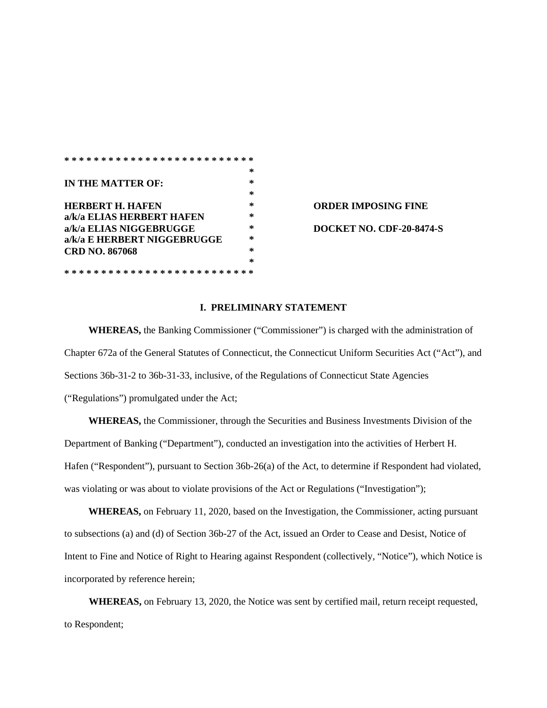|                             |  | ×. |  |
|-----------------------------|--|----|--|
| IN THE MATTER OF:           |  | ×. |  |
|                             |  | ×. |  |
| <b>HERBERT H. HAFEN</b>     |  | *  |  |
| a/k/a ELIAS HERBERT HAFEN   |  | ×. |  |
| a/k/a ELIAS NIGGEBRUGGE     |  | *  |  |
| a/k/a E HERBERT NIGGEBRUGGE |  | *  |  |
| <b>CRD NO. 867068</b>       |  | ×. |  |
|                             |  | ×. |  |

**\* \* \* \* \* \* \* \* \* \* \* \* \* \* \* \* \* \* \* \* \* \* \* \* \* \*** 

**HEREBING FINE a/k/a ELIAS NIGGEBRUGGE \* DOCKET NO. CDF-20-8474-S** 

## **I. PRELIMINARY STATEMENT**

**WHEREAS,** the Banking Commissioner ("Commissioner") is charged with the administration of Chapter 672a of the General Statutes of Connecticut, the Connecticut Uniform Securities Act ("Act"), and Sections 36b-31-2 to 36b-31-33, inclusive, of the Regulations of Connecticut State Agencies ("Regulations") promulgated under the Act;

**WHEREAS,** the Commissioner, through the Securities and Business Investments Division of the Department of Banking ("Department"), conducted an investigation into the activities of Herbert H. Hafen ("Respondent"), pursuant to Section 36b-26(a) of the Act, to determine if Respondent had violated, was violating or was about to violate provisions of the Act or Regulations ("Investigation");

**WHEREAS,** on February 11, 2020, based on the Investigation, the Commissioner*,* acting pursuant to subsections (a) and (d) of Section 36b-27 of the Act, issued an Order to Cease and Desist, Notice of Intent to Fine and Notice of Right to Hearing against Respondent (collectively, "Notice"), which Notice is incorporated by reference herein;

**WHEREAS,** on February 13, 2020, the Notice was sent by certified mail, return receipt requested, to Respondent;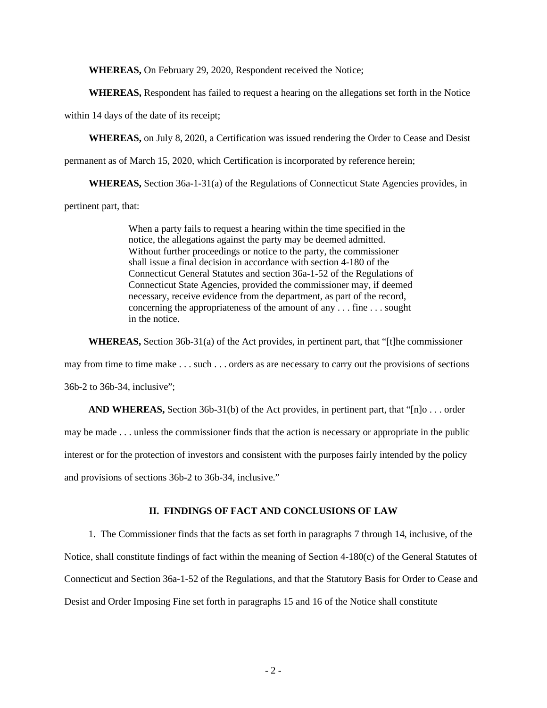**WHEREAS,** On February 29, 2020, Respondent received the Notice;

**WHEREAS,** Respondent has failed to request a hearing on the allegations set forth in the Notice

within 14 days of the date of its receipt;

**WHEREAS,** on July 8, 2020, a Certification was issued rendering the Order to Cease and Desist

permanent as of March 15, 2020, which Certification is incorporated by reference herein;

**WHEREAS,** Section 36a-1-31(a) of the Regulations of Connecticut State Agencies provides, in

pertinent part, that:

When a party fails to request a hearing within the time specified in the notice, the allegations against the party may be deemed admitted. Without further proceedings or notice to the party, the commissioner shall issue a final decision in accordance with section 4-180 of the Connecticut General Statutes and section 36a-1-52 of the Regulations of Connecticut State Agencies, provided the commissioner may, if deemed necessary, receive evidence from the department, as part of the record, concerning the appropriateness of the amount of any . . . fine . . . sought in the notice.

**WHEREAS,** Section 36b-31(a) of the Act provides, in pertinent part, that "[t]he commissioner

may from time to time make . . . such . . . orders as are necessary to carry out the provisions of sections

36b-2 to 36b-34, inclusive";

**AND WHEREAS,** Section 36b-31(b) of the Act provides, in pertinent part, that "[n]o . . . order may be made . . . unless the commissioner finds that the action is necessary or appropriate in the public interest or for the protection of investors and consistent with the purposes fairly intended by the policy and provisions of sections 36b-2 to 36b-34, inclusive."

## **II. FINDINGS OF FACT AND CONCLUSIONS OF LAW**

1. The Commissioner finds that the facts as set forth in paragraphs 7 through 14, inclusive, of the Notice, shall constitute findings of fact within the meaning of Section 4-180(c) of the General Statutes of Connecticut and Section 36a-1-52 of the Regulations, and that the Statutory Basis for Order to Cease and Desist and Order Imposing Fine set forth in paragraphs 15 and 16 of the Notice shall constitute